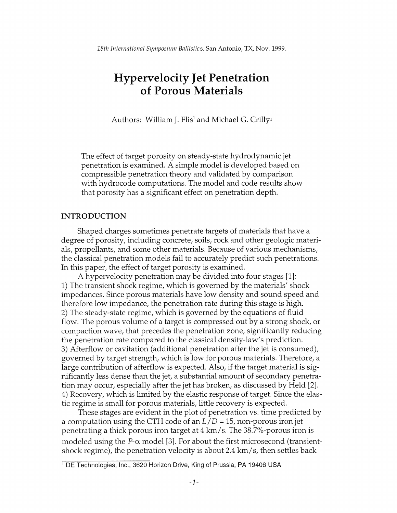*18th International Symposium Ballistics,* San Antonio, TX, Nov. 1999.

# **Hypervelocity Jet Penetration of Porous Materials**

Authors: William J. Flis<sup>1</sup> and Michael G. Crilly<sup>1</sup>

The effect of target porosity on steady-state hydrodynamic jet penetration is examined. A simple model is developed based on compressible penetration theory and validated by comparison with hydrocode computations. The model and code results show that porosity has a significant effect on penetration depth.

# **INTRODUCTION**

Shaped charges sometimes penetrate targets of materials that have a degree of porosity, including concrete, soils, rock and other geologic materials, propellants, and some other materials. Because of various mechanisms, the classical penetration models fail to accurately predict such penetrations. In this paper, the effect of target porosity is examined.

A hypervelocity penetration may be divided into four stages [1]: 1) The transient shock regime, which is governed by the materials' shock impedances. Since porous materials have low density and sound speed and therefore low impedance, the penetration rate during this stage is high. 2) The steady-state regime, which is governed by the equations of fluid flow. The porous volume of a target is compressed out by a strong shock, or compaction wave, that precedes the penetration zone, significantly reducing the penetration rate compared to the classical density-law's prediction. 3) Afterflow or cavitation (additional penetration after the jet is consumed), governed by target strength, which is low for porous materials. Therefore, a large contribution of afterflow is expected. Also, if the target material is significantly less dense than the jet, a substantial amount of secondary penetration may occur, especially after the jet has broken, as discussed by Held [2]. 4) Recovery, which is limited by the elastic response of target. Since the elastic regime is small for porous materials, little recovery is expected.

These stages are evident in the plot of penetration vs. time predicted by a computation using the CTH code of an *L/D* = 15, non-porous iron jet penetrating a thick porous iron target at 4 km/ s. The 38.7%-porous iron is modeled using the  $P$ - $\alpha$  model [3]. For about the first microsecond (transientshock regime), the penetration velocity is about 2.4 km/s, then settles back

<sup>&</sup>lt;sup>1</sup> DE Technologies, Inc., 3620 Horizon Drive, King of Prussia, PA 19406 USA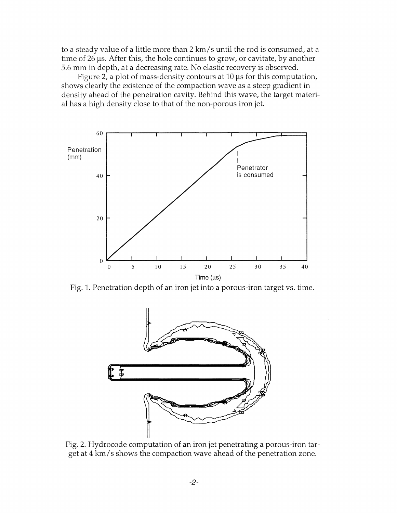to a steady value of a little more than 2 km/s until the rod is consumed, at a time of 26 *lls.* After this, the hole continues to grow, or cavitate, by another 5.6 mm in depth, at a decreasing rate. No elastic recovery is observed.

Figure 2, a plot of mass-density contours at  $10 \mu s$  for this computation, shows clearly the existence of the compaction wave as a steep gradient in density ahead of the penetration cavity. Behind this wave, the target material has a high density close to that of the non-porous iron jet.



Fig. 1. Penetration depth of an iron jet into a porous-iron target vs. time.



Fig. 2. Hydrocode computation of an iron jet penetrating a porous-iron target at 4 km/s shows the compaction wave ahead of the penetration zone.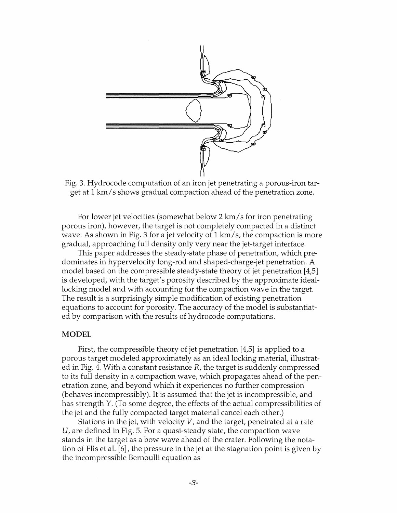

Fig. 3. Hydrocode computation of an iron jet penetrating a porous-iron target at 1 km/s shows gradual compaction ahead of the penetration zone.

For lower jet velocities (somewhat below 2 km/s for iron penetrating porous iron), however, the target is not completely compacted in a distinct wave. As shown in Fig. 3 for a jet velocity of 1 km/s, the compaction is more gradual, approaching full density only very near the jet-target interface.

This paper addresses the steady-state phase of penetration, which predominates in hypervelocity long-rod and shaped-charge-jet penetration. A model based on the compressible steady-state theory of jet penetration [4,5] is developed, with the target's porosity described by the approximate ideallocking model and with accounting for the compaction wave in the target. The result is a surprisingly simple modification of existing penetration equations to account for porosity. The accuracy of the model is substantiated by comparison with the results of hydrocode computations.

# **MODEL**

First, the compressible theory of jet penetration [4,5] is applied to a porous target modeled approximately as an ideal locking material, illustrated in Fig. 4. With a constant resistance R, the target is suddenly compressed to its full density in a compaction wave, which propagates ahead of the penetration zone, and beyond which it experiences no further compression (behaves incompressibly). It is assumed that the jet is incompressible, and has strength Y. (To some degree, the effects of the actual compressibilities of the jet and the fully compacted target material cancel each other.)

Stations in the jet, with velocity V, and the target, penetrated at a rate U, are defined in Fig. 5. For a quasi-steady state, the compaction wave stands in the target as a bow wave ahead of the crater. Following the notation of Flis et al. [6], the pressure in the jet at the stagnation point is given by the incompressible Bernoulli equation as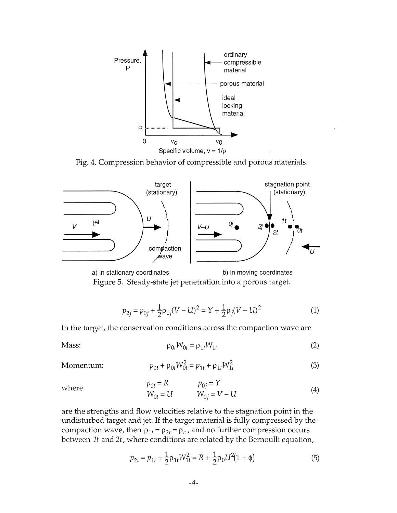

Fig. 4. Compression behavior of compressible and porous materials.



Figure 5. Steady-state jet penetration into a porous target.

$$
p_{2j} = p_{0j} + \frac{1}{2}\rho_{0j}(V - U)^2 = Y + \frac{1}{2}\rho_j(V - U)^2
$$
 (1)

In the target, the conservation conditions across the compaction wave are

Mass: 
$$
\rho_{0t}W_{0t} = \rho_{1t}W_{1t}
$$
 (2)

 $Momentum:$ 

$$
p_{0t} + \rho_{0t} W_{0t}^2 = p_{1t} + \rho_{1t} W_{1t}^2
$$
 (3)

where 
$$
p_{0t} = R
$$
  $p_{0j} = Y$   
\n $W_{0t} = U$   $W_{0j} = V - U$  (4)

are the strengths and flow velocities relative to the stagnation point in the undisturbed target and jet. If the target material is fully compressed by the compaction wave, then  $\rho_{1t} = \rho_{2t} = \rho_c$ , and no further compression occurs between It and *2t,* where conditions are related by the Bernoulli equation,

$$
p_{2t} = p_{1t} + \frac{1}{2}\rho_{1t}W_{1t}^2 = R + \frac{1}{2}\rho_0 U^2 (1 + \phi)
$$
 (5)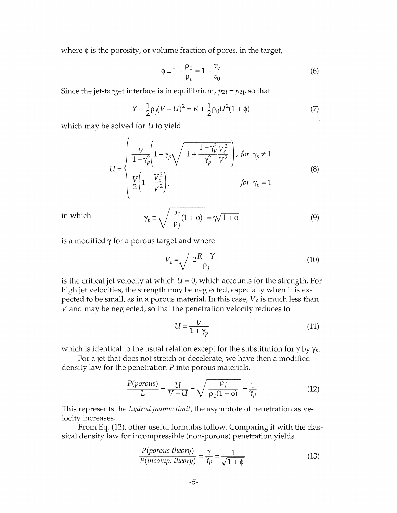where  $\phi$  is the porosity, or volume fraction of pores, in the target,

$$
\phi = 1 - \frac{\rho_0}{\rho_c} = 1 - \frac{v_c}{v_0} \tag{6}
$$

Since the jet-target interface is in equilibrium,  $p_{2t} = p_{2j}$ , so that

$$
Y + \frac{1}{2}\rho_j(V - U)^2 = R + \frac{1}{2}\rho_0 U^2 (1 + \phi)
$$
 (7)

which may be solved for U to yield

 $\lambda$ 

$$
U = \begin{cases} \frac{V}{1 - \gamma_p^2} \left( 1 - \gamma_p \sqrt{1 + \frac{1 - \gamma_p^2 V_c^2}{\gamma_p^2 V^2}} \right), & \text{for } \gamma_p \neq 1\\ \frac{V}{2} \left( 1 - \frac{V_c^2}{V^2} \right), & \text{for } \gamma_p = 1 \end{cases}
$$
(8)

in which

$$
\gamma_p \equiv \sqrt{\frac{\rho_0}{\rho_j}(1+\phi)} = \gamma\sqrt{1+\phi}
$$
\n(9)

is a modified  $\gamma$  for a porous target and where

$$
V_c = \sqrt{\frac{2R - Y}{\rho_j}}
$$
 (10)

is the critical jet velocity at which  $U = 0$ , which accounts for the strength. For high jet velocities, the strength may be neglected, especially when it is expected to be small, as in a porous material. In this case, *V* c is much less than *V* and may be neglected, so that the penetration velocity reduces to

$$
U = \frac{V}{1 + \gamma_p} \tag{11}
$$

which is identical to the usual relation except for the substitution for  $\gamma$  by  $\gamma_p$ .

For a jet that does not stretch or decelerate, we have then a modified

density law for the penetration *P* into porous materials,  
\n
$$
\frac{P(porous)}{L} = \frac{U}{V - U} = \sqrt{\frac{Pj}{\rho_0(1 + \phi)}} = \frac{1}{\gamma_p}
$$
\n(12)

This represents the *hydrodynamic limit,* the asymptote of penetration as velocity increases.

From Eq. (12), other useful formulas follow. Comparing it with the classical density law for incompressible (non-porous) penetration yields

$$
\frac{P(porous theory)}{P(incomp. theory)} = \frac{\gamma}{\gamma_p} = \frac{1}{\sqrt{1 + \phi}}
$$
(13)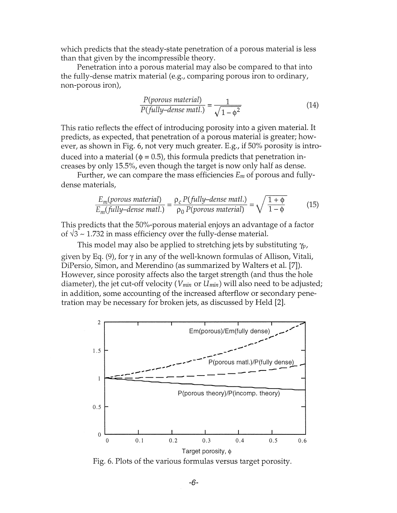which predicts that the steady-state penetration of a porous material is less than that given by the incompressible theory.

Penetration into a porous material may also be compared to that into the fully-dense matrix material (e.g., comparing porous iron to ordinary, non-porous iron),

$$
\frac{P(porous material)}{P(fully-dense matl.)} = \frac{1}{\sqrt{1 - \phi^2}}
$$
\n(14)

This ratio reflects the effect of introducing porosity into a given material. It predicts, as expected, that penetration of a porous material is greater; however, as shown in Fig. 6, not very much greater. E.g., if 50% porosity is introduced into a material ( $\phi$  = 0.5), this formula predicts that penetration increases by only 15.5%, even though the target is now only half as dense.

Further, we can compare the mass efficiencies *Em* of porous and fullydense materials,

erials,

\n
$$
\frac{E_m(\text{porous material})}{E_m(\text{fully–dense matl.})} = \frac{\rho_c P(\text{fully–dense matl.})}{\rho_0 P(\text{porous material})} = \sqrt{\frac{1 + \phi}{1 - \phi}}
$$
\n(15)

This predicts that the 50%-porous material enjoys an advantage of a factor of  $\sqrt{3} \sim 1.732$  in mass efficiency over the fully-dense material.

This model may also be applied to stretching jets by substituting  $\gamma_p$ , given by Eq. (9), for  $\gamma$  in any of the well-known formulas of Allison, Vitali, DiPersio, Simon, and Merendino (as summarized by Walters et al. [7]). However, since porosity affects also the target strength (and thus the hole diameter), the jet cut-off velocity *(Vmin* or *Umin)* will also need to be adjusted; in addition, some accounting of the increased afterflow or secondary penetration may be necessary for broken jets, as discussed by Held [2].



Fig. 6. Plots of the various formulas versus target porosity.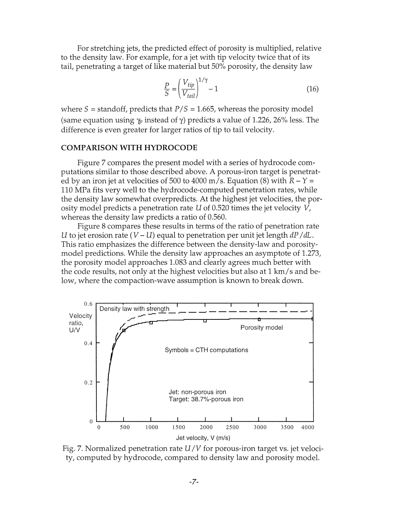For stretching jets, the predicted effect of porosity is multiplied, relative to the density law. For example, for a jet with tip velocity twice that of its

tail, penetrating a target of like material but 50% porosity, the density law\n
$$
\frac{P}{S} = \left(\frac{V_{tip}}{V_{tail}}\right)^{1/\gamma} - 1
$$
\n(16)

where  $S =$  standoff, predicts that  $P/S = 1.665$ , whereas the porosity model (same equation using  $\gamma_p$  instead of  $\gamma$ ) predicts a value of 1.226, 26% less. The difference is even greater for larger ratios of tip to tail velocity.

# **COMPARISON WITH HYDROCODE**

Figure 7 compares the present model with a series of hydrocode computations similar to those described above. A porous-iron target is penetrated by an iron jet at velocities of 500 to 4000 m/s. Equation (8) with  $R - Y =$ 110 MPa fits very well to the hydrocode-computed penetration rates, while the density law somewhat overpredicts. At the highest jet velocities, the porosity model predicts a penetration rate U of 0.520 times the jet velocity  $V$ , whereas the density law predicts a ratio of 0.560.

Figure 8 compares these results in terms of the ratio of penetration rate U to jet erosion rate  $(V-U)$  equal to penetration per unit jet length  $dP/dL$ . This ratio emphasizes the difference between the density-law and porositymodel predictions. While the density law approaches an asymptote of 1.273, the porosity model approaches 1.083 and clearly agrees much better with the code results, not only at the highest velocities but also at 1 km/s and below, where the compaction-wave assumption is known to break down.



Fig. 7. Normalized penetration rate U *IV* for porous-iron target vs. jet velocity, computed by hydrocode, compared to density law and porosity model.